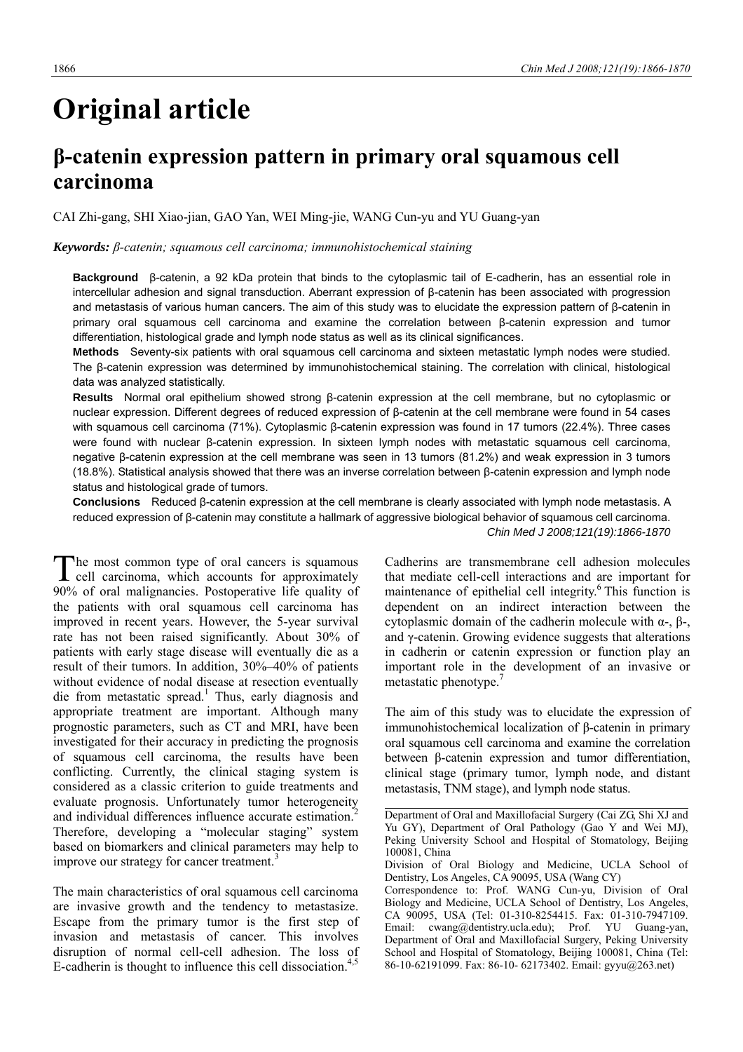# **Original article**

# **β-catenin expression pattern in primary oral squamous cell carcinoma**

CAI Zhi-gang, SHI Xiao-jian, GAO Yan, WEI Ming-jie, WANG Cun-yu and YU Guang-yan

#### *Keywords: β-catenin; squamous cell carcinoma; immunohistochemical staining*

**Background** β-catenin, a 92 kDa protein that binds to the cytoplasmic tail of E-cadherin, has an essential role in intercellular adhesion and signal transduction. Aberrant expression of β-catenin has been associated with progression and metastasis of various human cancers. The aim of this study was to elucidate the expression pattern of β-catenin in primary oral squamous cell carcinoma and examine the correlation between β-catenin expression and tumor differentiation, histological grade and lymph node status as well as its clinical significances.

**Methods** Seventy-six patients with oral squamous cell carcinoma and sixteen metastatic lymph nodes were studied. The β-catenin expression was determined by immunohistochemical staining. The correlation with clinical, histological data was analyzed statistically.

**Results** Normal oral epithelium showed strong β-catenin expression at the cell membrane, but no cytoplasmic or nuclear expression. Different degrees of reduced expression of β-catenin at the cell membrane were found in 54 cases with squamous cell carcinoma (71%). Cytoplasmic β-catenin expression was found in 17 tumors (22.4%). Three cases were found with nuclear β-catenin expression. In sixteen lymph nodes with metastatic squamous cell carcinoma, negative β-catenin expression at the cell membrane was seen in 13 tumors (81.2%) and weak expression in 3 tumors (18.8%). Statistical analysis showed that there was an inverse correlation between β-catenin expression and lymph node status and histological grade of tumors.

**Conclusions** Reduced β-catenin expression at the cell membrane is clearly associated with lymph node metastasis. A reduced expression of β-catenin may constitute a hallmark of aggressive biological behavior of squamous cell carcinoma. *Chin Med J 2008;121(19):1866-1870*

he most common type of oral cancers is squamous The most common type of oral cancers is squamous<br>cell carcinoma, which accounts for approximately 90% of oral malignancies. Postoperative life quality of the patients with oral squamous cell carcinoma has improved in recent years. However, the 5-year survival rate has not been raised significantly. About 30% of patients with early stage disease will eventually die as a result of their tumors. In addition, 30%–40% of patients without evidence of nodal disease at resection eventually die from metastatic spread.<sup>1</sup> Thus, early diagnosis and appropriate treatment are important. Although many prognostic parameters, such as CT and MRI, have been investigated for their accuracy in predicting the prognosis of squamous cell carcinoma, the results have been conflicting. Currently, the clinical staging system is considered as a classic criterion to guide treatments and evaluate prognosis. Unfortunately tumor heterogeneity and individual differences influence accurate estimation.<sup>2</sup> Therefore, developing a "molecular staging" system based on biomarkers and clinical parameters may help to improve our strategy for cancer treatment.<sup>3</sup>

The main characteristics of oral squamous cell carcinoma are invasive growth and the tendency to metastasize. Escape from the primary tumor is the first step of invasion and metastasis of cancer. This involves disruption of normal cell-cell adhesion. The loss of E-cadherin is thought to influence this cell dissociation.<sup>4,5</sup>

Cadherins are transmembrane cell adhesion molecules that mediate cell-cell interactions and are important for maintenance of epithelial cell integrity.<sup>6</sup> This function is dependent on an indirect interaction between the cytoplasmic domain of the cadherin molecule with α-, β-, and γ-catenin. Growing evidence suggests that alterations in cadherin or catenin expression or function play an important role in the development of an invasive or metastatic phenotype.<sup>7</sup>

The aim of this study was to elucidate the expression of immunohistochemical localization of β-catenin in primary oral squamous cell carcinoma and examine the correlation between β-catenin expression and tumor differentiation, clinical stage (primary tumor, lymph node, and distant metastasis, TNM stage), and lymph node status.

Department of Oral and Maxillofacial Surgery (Cai ZG, Shi XJ and Yu GY), Department of Oral Pathology (Gao Y and Wei MJ), Peking University School and Hospital of Stomatology, Beijing 100081, China

Division of Oral Biology and Medicine, UCLA School of Dentistry, Los Angeles, CA 90095, USA (Wang CY)

Correspondence to: Prof. WANG Cun-yu, Division of Oral Biology and Medicine, UCLA School of Dentistry, Los Angeles, CA 90095, USA (Tel: 01-310-8254415. Fax: 01-310-7947109. Email: cwang@dentistry.ucla.edu); Prof. YU Guang-yan, Department of Oral and Maxillofacial Surgery, Peking University School and Hospital of Stomatology, Beijing 100081, China (Tel: 86-10-62191099. Fax: 86-10- 62173402. Email: gyyu@263.net)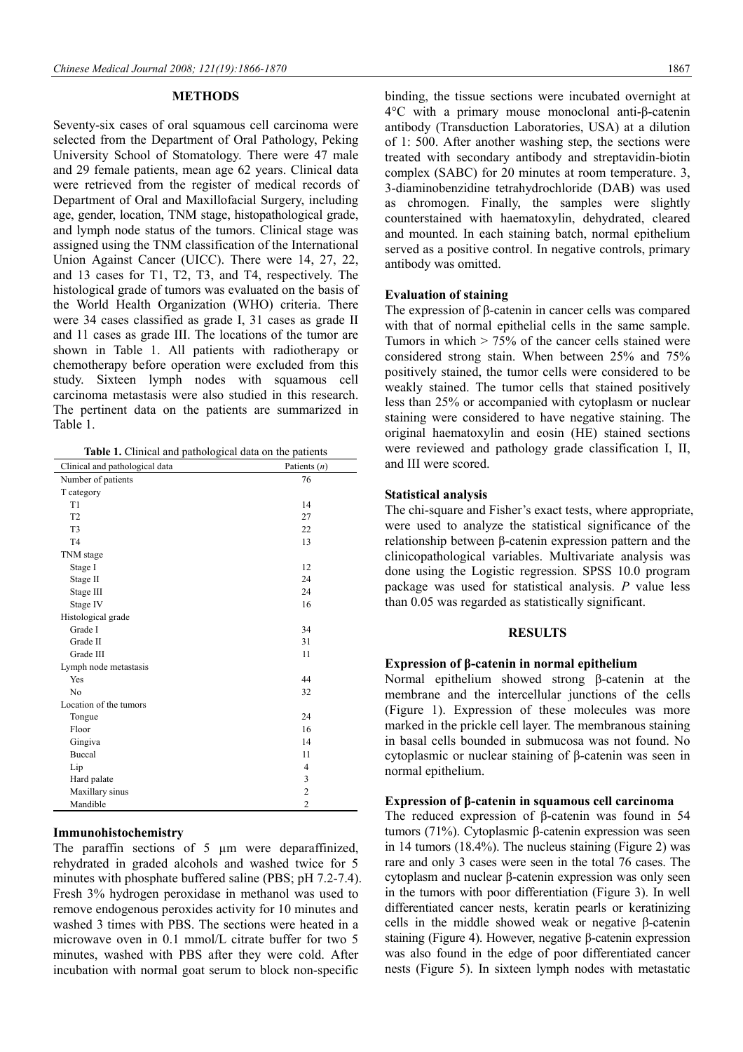#### **METHODS**

Seventy-six cases of oral squamous cell carcinoma were selected from the Department of Oral Pathology, Peking University School of Stomatology. There were 47 male and 29 female patients, mean age 62 years. Clinical data were retrieved from the register of medical records of Department of Oral and Maxillofacial Surgery, including age, gender, location, TNM stage, histopathological grade, and lymph node status of the tumors. Clinical stage was assigned using the TNM classification of the International Union Against Cancer (UICC). There were 14, 27, 22, and 13 cases for T1, T2, T3, and T4, respectively. The histological grade of tumors was evaluated on the basis of the World Health Organization (WHO) criteria. There were 34 cases classified as grade I, 31 cases as grade II and 11 cases as grade III. The locations of the tumor are shown in Table 1. All patients with radiotherapy or chemotherapy before operation were excluded from this study. Sixteen lymph nodes with squamous cell carcinoma metastasis were also studied in this research. The pertinent data on the patients are summarized in Table 1.

| Clinical and pathological data | Patients $(n)$          |
|--------------------------------|-------------------------|
| Number of patients             | 76                      |
| T category                     |                         |
| T1                             | 14                      |
| T <sub>2</sub>                 | 27                      |
| T <sub>3</sub>                 | 22                      |
| T <sub>4</sub>                 | 13                      |
| TNM stage                      |                         |
| Stage I                        | 12                      |
| Stage II                       | 24                      |
| Stage III                      | 24                      |
| Stage IV                       | 16                      |
| Histological grade             |                         |
| Grade I                        | 34                      |
| Grade II                       | 31                      |
| Grade III                      | 11                      |
| Lymph node metastasis          |                         |
| Yes                            | 44                      |
| N <sub>0</sub>                 | 32                      |
| Location of the tumors         |                         |
| Tongue                         | 24                      |
| Floor                          | 16                      |
| Gingiva                        | 14                      |
| Buccal                         | 11                      |
| Lip                            | $\overline{4}$          |
| Hard palate                    | 3                       |
| Maxillary sinus                | $\overline{\mathbf{c}}$ |
| Mandible                       | $\overline{2}$          |

#### **Immunohistochemistry**

The paraffin sections of 5  $\mu$ m were deparaffinized, rehydrated in graded alcohols and washed twice for 5 minutes with phosphate buffered saline (PBS; pH 7.2-7.4). Fresh 3% hydrogen peroxidase in methanol was used to remove endogenous peroxides activity for 10 minutes and washed 3 times with PBS. The sections were heated in a microwave oven in 0.1 mmol/L citrate buffer for two 5 minutes, washed with PBS after they were cold. After incubation with normal goat serum to block non-specific

binding, the tissue sections were incubated overnight at 4°C with a primary mouse monoclonal anti-β-catenin antibody (Transduction Laboratories, USA) at a dilution of 1: 500. After another washing step, the sections were treated with secondary antibody and streptavidin-biotin complex (SABC) for 20 minutes at room temperature. 3, 3-diaminobenzidine tetrahydrochloride (DAB) was used as chromogen. Finally, the samples were slightly counterstained with haematoxylin, dehydrated, cleared and mounted. In each staining batch, normal epithelium served as a positive control. In negative controls, primary antibody was omitted.

#### **Evaluation of staining**

The expression of β-catenin in cancer cells was compared with that of normal epithelial cells in the same sample. Tumors in which  $> 75\%$  of the cancer cells stained were considered strong stain. When between 25% and 75% positively stained, the tumor cells were considered to be weakly stained. The tumor cells that stained positively less than 25% or accompanied with cytoplasm or nuclear staining were considered to have negative staining. The original haematoxylin and eosin (HE) stained sections were reviewed and pathology grade classification I, II, and III were scored.

#### **Statistical analysis**

The chi-square and Fisher's exact tests, where appropriate, were used to analyze the statistical significance of the relationship between β-catenin expression pattern and the clinicopathological variables. Multivariate analysis was done using the Logistic regression. SPSS 10.0 program package was used for statistical analysis. *P* value less than 0.05 was regarded as statistically significant.

#### **RESULTS**

#### **Expression of β-catenin in normal epithelium**

Normal epithelium showed strong β-catenin at the membrane and the intercellular junctions of the cells (Figure 1). Expression of these molecules was more marked in the prickle cell layer. The membranous staining in basal cells bounded in submucosa was not found. No cytoplasmic or nuclear staining of β-catenin was seen in normal epithelium.

#### **Expression of β-catenin in squamous cell carcinoma**

The reduced expression of β-catenin was found in 54 tumors (71%). Cytoplasmic β-catenin expression was seen in 14 tumors (18.4%). The nucleus staining (Figure 2) was rare and only 3 cases were seen in the total 76 cases. The cytoplasm and nuclear β-catenin expression was only seen in the tumors with poor differentiation (Figure 3). In well differentiated cancer nests, keratin pearls or keratinizing cells in the middle showed weak or negative β-catenin staining (Figure 4). However, negative β-catenin expression was also found in the edge of poor differentiated cancer nests (Figure 5). In sixteen lymph nodes with metastatic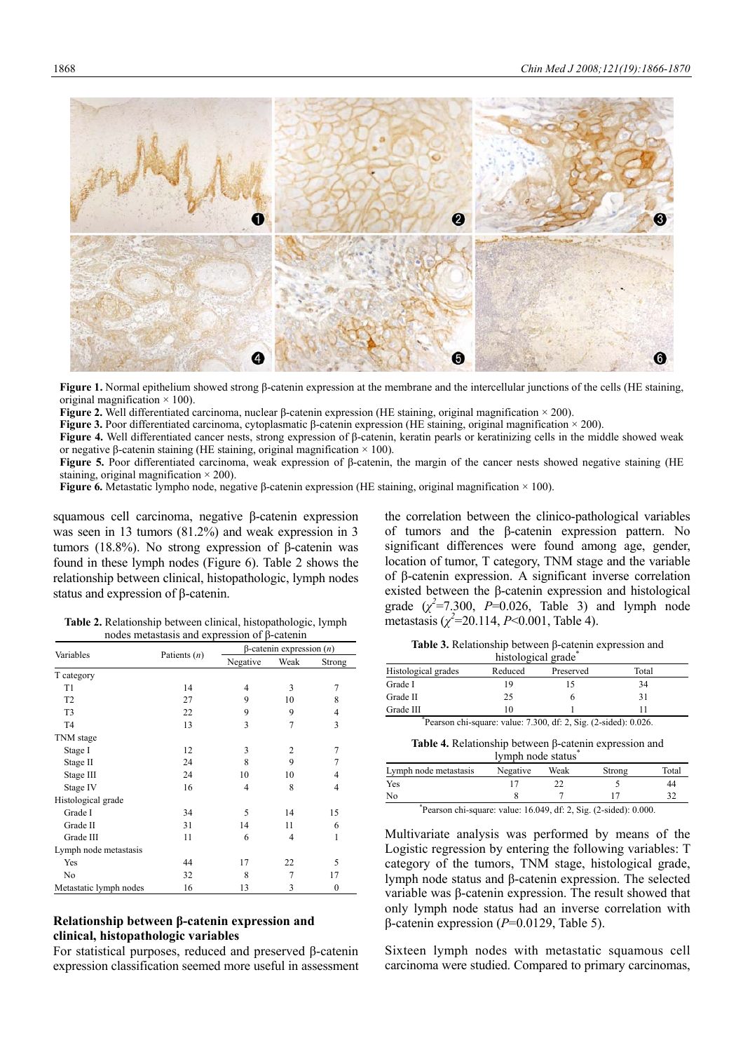2 5 ❻

**Figure 1.** Normal epithelium showed strong β-catenin expression at the membrane and the intercellular junctions of the cells (HE staining, original magnification  $\times$  100).

**Figure 2.** Well differentiated carcinoma, nuclear β-catenin expression (HE staining, original magnification × 200).

**Figure 3.** Poor differentiated carcinoma, cytoplasmatic β-catenin expression (HE staining, original magnification × 200).

**Figure 4.** Well differentiated cancer nests, strong expression of β-catenin, keratin pearls or keratinizing cells in the middle showed weak or negative β-catenin staining (HE staining, original magnification  $× 100$ ).

**Figure 5.** Poor differentiated carcinoma, weak expression of β-catenin, the margin of the cancer nests showed negative staining (HE staining, original magnification  $\times$  200).

**Figure 6.** Metastatic lympho node, negative β-catenin expression (HE staining, original magnification × 100).

squamous cell carcinoma, negative β-catenin expression was seen in 13 tumors (81.2%) and weak expression in 3 tumors (18.8%). No strong expression of β-catenin was found in these lymph nodes (Figure 6). Table 2 shows the relationship between clinical, histopathologic, lymph nodes status and expression of β-catenin.

the correlation between the clinico-pathological variables of tumors and the β-catenin expression pattern. No significant differences were found among age, gender, location of tumor, T category, TNM stage and the variable of β-catenin expression. A significant inverse correlation existed between the β-catenin expression and histological grade  $(\chi^2 = 7.300, P = 0.026,$  Table 3) and lymph node metastasis  $(\chi^2 = 20.114, P < 0.001,$  Table 4).

| expression of B-catenin           |      |        |                            |  |  |  |
|-----------------------------------|------|--------|----------------------------|--|--|--|
| $\beta$ -catenin expression $(n)$ |      |        | <b>Table 3. Relationsh</b> |  |  |  |
| Negative                          | Weak | Strong |                            |  |  |  |
|                                   |      |        | Histological grades        |  |  |  |

| <b>Table 3.</b> Relationship between $\beta$ -catenin expression and |                    |  |  |
|----------------------------------------------------------------------|--------------------|--|--|
|                                                                      | histological grade |  |  |

|                     | $\frac{1}{2}$ |                                                                          |       |  |
|---------------------|---------------|--------------------------------------------------------------------------|-------|--|
| Histological grades | Reduced       | Preserved                                                                | Total |  |
| Grade I             | 19            |                                                                          | 34    |  |
| Grade II            | 25            |                                                                          |       |  |
| Grade III           | 10            |                                                                          |       |  |
|                     |               | Because the cause $v_{\text{max}}$ 7.200 df $2.8\sigma$ (2 sided): 0.026 |       |  |

| Pearson chi-square: value: 7.300, df: 2, Sig. (2-sided): 0.026. |  |  |  |
|-----------------------------------------------------------------|--|--|--|
|-----------------------------------------------------------------|--|--|--|

**Table 4.** Relationship between β-catenin expression and lymph node status<sup>\*</sup>

| Lymph node metastasis | Negative | Weak | Strong | Total |
|-----------------------|----------|------|--------|-------|
| Yes                   |          |      |        |       |
| No                    |          |      |        |       |
| $*_{n}$               |          |      |        |       |

\* Pearson chi-square: value: 16.049, df: 2, Sig. (2-sided): 0.000.

Multivariate analysis was performed by means of the Logistic regression by entering the following variables: T category of the tumors, TNM stage, histological grade, lymph node status and β-catenin expression. The selected variable was β-catenin expression. The result showed that only lymph node status had an inverse correlation with β-catenin expression (*P*=0.0129, Table 5).

### Sixteen lymph nodes with metastatic squamous cell carcinoma were studied. Compared to primary carcinomas,

| <b>Table 2.</b> Relationship between clinical, histopathologic, lymph |  |
|-----------------------------------------------------------------------|--|
| nodes metastasis and expression of $\beta$ -catenin                   |  |

| Variables              | Patients $(n)$ | $\beta$ -catenin expression $(n)$ |                |          |
|------------------------|----------------|-----------------------------------|----------------|----------|
|                        |                | Negative                          | Weak           | Strong   |
| T category             |                |                                   |                |          |
| T1                     | 14             | 4                                 | 3              | 7        |
| T <sub>2</sub>         | 27             | 9                                 | 10             | 8        |
| T <sub>3</sub>         | 22             | 9                                 | 9              | 4        |
| T <sub>4</sub>         | 13             | 3                                 | 7              | 3        |
| TNM stage              |                |                                   |                |          |
| Stage I                | 12             | 3                                 | $\overline{c}$ | 7        |
| Stage II               | 24             | 8                                 | 9              | 7        |
| Stage III              | 24             | 10                                | 10             | 4        |
| Stage IV               | 16             | 4                                 | 8              | 4        |
| Histological grade     |                |                                   |                |          |
| Grade I                | 34             | 5                                 | 14             | 15       |
| Grade II               | 31             | 14                                | 11             | 6        |
| Grade III              | 11             | 6                                 | $\overline{4}$ | 1        |
| Lymph node metastasis  |                |                                   |                |          |
| Yes                    | 44             | 17                                | 22             | 5        |
| N <sub>0</sub>         | 32             | 8                                 | 7              | 17       |
| Metastatic lymph nodes | 16             | 13                                | 3              | $\bf{0}$ |

## **Relationship between β-catenin expression and clinical, histopathologic variables**

For statistical purposes, reduced and preserved β-catenin expression classification seemed more useful in assessment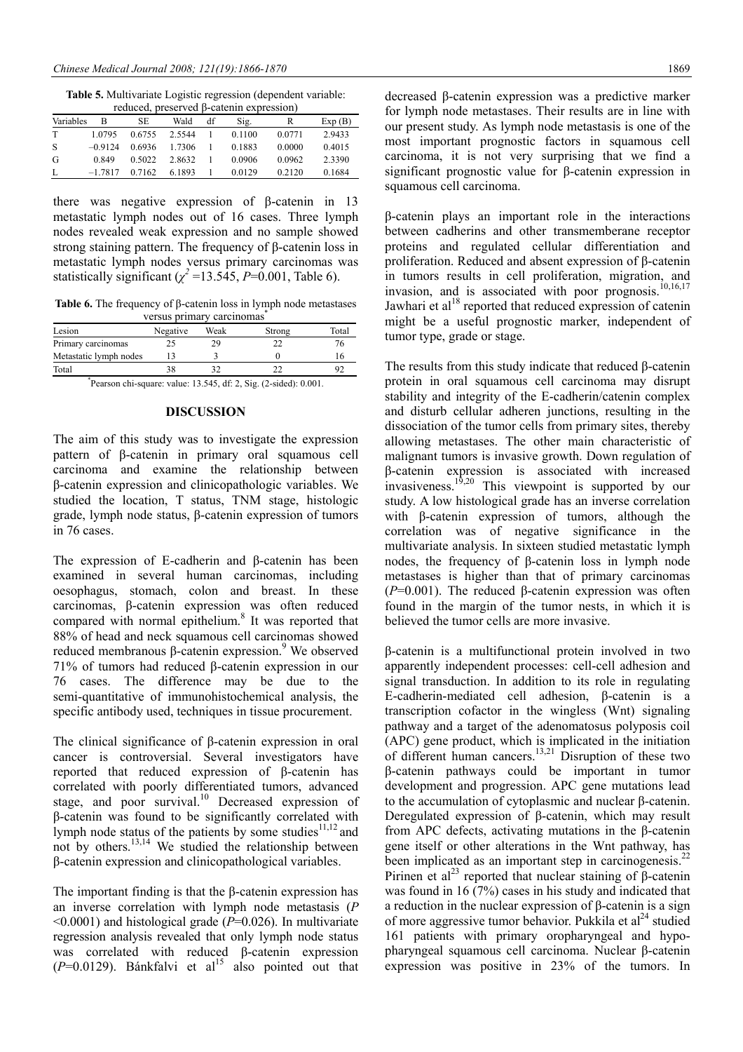**Table 5.** Multivariate Logistic regression (dependent variable:

| reduced, preserved $\beta$ -catenin expression) |                                              |        |        |  |        |        |        |
|-------------------------------------------------|----------------------------------------------|--------|--------|--|--------|--------|--------|
| Variables                                       | SE<br>Wald<br>df<br>в<br>Exp(B)<br>Sig.<br>R |        |        |  |        |        |        |
| T                                               | 1 0 7 9 5                                    | 0.6755 | 2.5544 |  | 0.1100 | 0.0771 | 2.9433 |
| S                                               | $-0.9124$                                    | 0.6936 | 1 7306 |  | 0.1883 | 0.0000 | 0.4015 |
| G                                               | 0.849                                        | 0.5022 | 2.8632 |  | 0.0906 | 0.0962 | 2.3390 |
| L                                               | $-17817$                                     | 0.7162 | 6.1893 |  | 0.0129 | 0.2120 | 0.1684 |

there was negative expression of β-catenin in 13 metastatic lymph nodes out of 16 cases. Three lymph nodes revealed weak expression and no sample showed strong staining pattern. The frequency of β-catenin loss in metastatic lymph nodes versus primary carcinomas was statistically significant ( $\chi^2$  =13.545, *P*=0.001, Table 6).

**Table 6.** The frequency of β-catenin loss in lymph node metastases versus primary carcinomas<sup>\*</sup>

| Lesion                 | Negative | Weak | Strong | Total |
|------------------------|----------|------|--------|-------|
| Primary carcinomas     |          | 29   |        |       |
| Metastatic lymph nodes |          |      |        |       |
| Total                  |          |      |        |       |

\* Pearson chi-square: value: 13.545, df: 2, Sig. (2-sided): 0.001.

#### **DISCUSSION**

The aim of this study was to investigate the expression pattern of β-catenin in primary oral squamous cell carcinoma and examine the relationship between β-catenin expression and clinicopathologic variables. We studied the location, T status, TNM stage, histologic grade, lymph node status, β-catenin expression of tumors in 76 cases.

The expression of E-cadherin and β-catenin has been examined in several human carcinomas, including oesophagus, stomach, colon and breast. In these carcinomas, β-catenin expression was often reduced compared with normal epithelium.<sup>8</sup> It was reported that 88% of head and neck squamous cell carcinomas showed reduced membranous β-catenin expression.<sup>9</sup> We observed 71% of tumors had reduced β-catenin expression in our 76 cases. The difference may be due to the semi-quantitative of immunohistochemical analysis, the specific antibody used, techniques in tissue procurement.

The clinical significance of β-catenin expression in oral cancer is controversial. Several investigators have reported that reduced expression of β-catenin has correlated with poorly differentiated tumors, advanced stage, and poor survival.<sup>10</sup> Decreased expression of β-catenin was found to be significantly correlated with lymph node status of the patients by some studies $11,12$  and not by others.<sup>13,14</sup> We studied the relationship between β-catenin expression and clinicopathological variables.

The important finding is that the β-catenin expression has an inverse correlation with lymph node metastasis (*P*  <0.0001) and histological grade (*P*=0.026). In multivariate regression analysis revealed that only lymph node status was correlated with reduced β-catenin expression  $(P=0.0129)$ . Bánkfalvi et al<sup>15</sup> also pointed out that

decreased β-catenin expression was a predictive marker for lymph node metastases. Their results are in line with our present study. As lymph node metastasis is one of the most important prognostic factors in squamous cell carcinoma, it is not very surprising that we find a significant prognostic value for β-catenin expression in squamous cell carcinoma.

β-catenin plays an important role in the interactions between cadherins and other transmemberane receptor proteins and regulated cellular differentiation and proliferation. Reduced and absent expression of β-catenin in tumors results in cell proliferation, migration, and invasion, and is associated with poor prognosis.<sup>10,16,17</sup> Jawhari et al $^{18}$  reported that reduced expression of catenin might be a useful prognostic marker, independent of tumor type, grade or stage.

The results from this study indicate that reduced β-catenin protein in oral squamous cell carcinoma may disrupt stability and integrity of the E-cadherin/catenin complex and disturb cellular adheren junctions, resulting in the dissociation of the tumor cells from primary sites, thereby allowing metastases. The other main characteristic of malignant tumors is invasive growth. Down regulation of β-catenin expression is associated with increased invasiveness.<sup>19,20</sup> This viewpoint is supported by our study. A low histological grade has an inverse correlation with β-catenin expression of tumors, although the correlation was of negative significance in the multivariate analysis. In sixteen studied metastatic lymph nodes, the frequency of β-catenin loss in lymph node metastases is higher than that of primary carcinomas (*P*=0.001). The reduced β-catenin expression was often found in the margin of the tumor nests, in which it is believed the tumor cells are more invasive.

β-catenin is a multifunctional protein involved in two apparently independent processes: cell-cell adhesion and signal transduction. In addition to its role in regulating E-cadherin-mediated cell adhesion, β-catenin is a transcription cofactor in the wingless (Wnt) signaling pathway and a target of the adenomatosus polyposis coil (APC) gene product, which is implicated in the initiation of different human cancers.<sup>13,21</sup> Disruption of these two β-catenin pathways could be important in tumor development and progression. APC gene mutations lead to the accumulation of cytoplasmic and nuclear β-catenin. Deregulated expression of β-catenin, which may result from APC defects, activating mutations in the β-catenin gene itself or other alterations in the Wnt pathway, has been implicated as an important step in carcinogenesis.<sup>22</sup> Pirinen et al<sup>23</sup> reported that nuclear staining of β-catenin was found in 16 (7%) cases in his study and indicated that a reduction in the nuclear expression of β-catenin is a sign of more aggressive tumor behavior. Pukkila et al<sup>24</sup> studied 161 patients with primary oropharyngeal and hypopharyngeal squamous cell carcinoma. Nuclear β-catenin expression was positive in 23% of the tumors. In